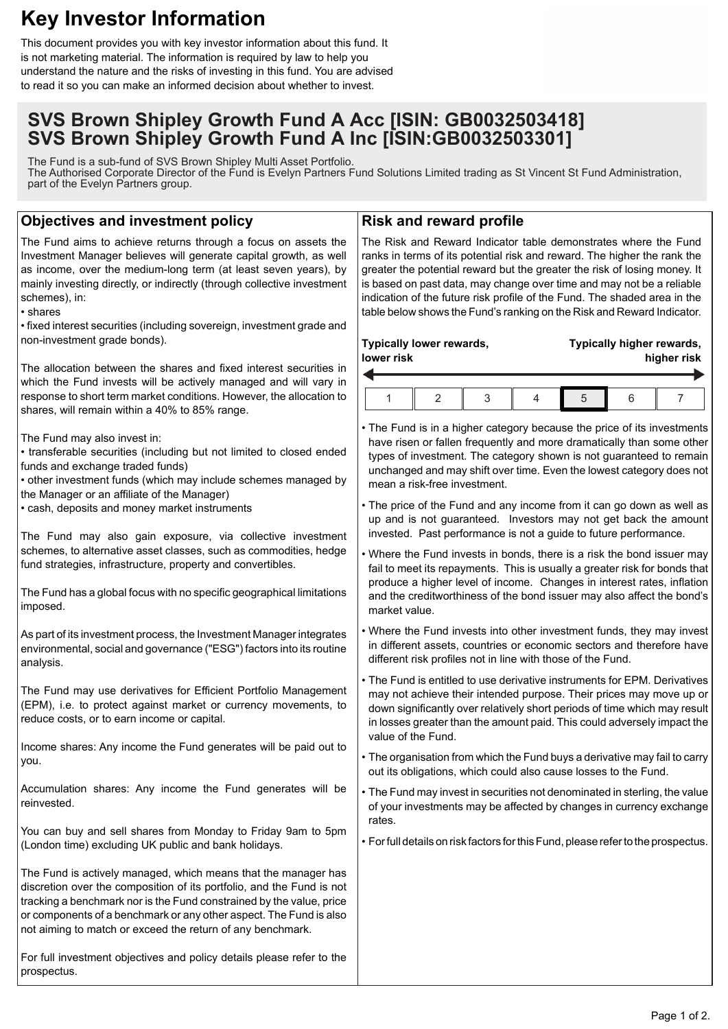# **Key Investor Information**

This document provides you with key investor information about this fund. It is not marketing material. The information is required by law to help you understand the nature and the risks of investing in this fund. You are advised to read it so you can make an informed decision about whether to invest.

## **SVS Brown Shipley Growth Fund A Acc [ISIN: GB0032503418] SVS Brown Shipley Growth Fund A Inc [ISIN:GB0032503301]**

The Fund is a sub-fund of SVS Brown Shipley Multi Asset Portfolio. The Authorised Corporate Director of the Fund is Evelyn Partners Fund Solutions Limited trading as St Vincent St Fund Administration, part of the Evelyn Partners group.

## **Objectives and investment policy**

The Fund aims to achieve returns through a focus on assets the Investment Manager believes will generate capital growth, as well as income, over the medium-long term (at least seven years), by mainly investing directly, or indirectly (through collective investment schemes), in:

#### • shares

• fixed interest securities (including sovereign, investment grade and non-investment grade bonds).

The allocation between the shares and fixed interest securities in which the Fund invests will be actively managed and will vary in response to short term market conditions. However, the allocation to shares, will remain within a 40% to 85% range.

The Fund may also invest in:

- transferable securities (including but not limited to closed ended funds and exchange traded funds)
- other investment funds (which may include schemes managed by the Manager or an affiliate of the Manager)
- cash, deposits and money market instruments

The Fund may also gain exposure, via collective investment schemes, to alternative asset classes, such as commodities, hedge fund strategies, infrastructure, property and convertibles.

The Fund has a global focus with no specific geographical limitations imposed.

As part of its investment process, the Investment Manager integrates environmental, social and governance ("ESG") factors into its routine analysis.

The Fund may use derivatives for Efficient Portfolio Management (EPM), i.e. to protect against market or currency movements, to reduce costs, or to earn income or capital.

Income shares: Any income the Fund generates will be paid out to you.

Accumulation shares: Any income the Fund generates will be reinvested.

You can buy and sell shares from Monday to Friday 9am to 5pm (London time) excluding UK public and bank holidays.

The Fund is actively managed, which means that the manager has discretion over the composition of its portfolio, and the Fund is not tracking a benchmark nor is the Fund constrained by the value, price or components of a benchmark or any other aspect. The Fund is also not aiming to match or exceed the return of any benchmark.

For full investment objectives and policy details please refer to the prospectus.

### **Risk and reward profile**

The Risk and Reward Indicator table demonstrates where the Fund ranks in terms of its potential risk and reward. The higher the rank the greater the potential reward but the greater the risk of losing money. It is based on past data, may change over time and may not be a reliable indication of the future risk profile of the Fund. The shaded area in the table below shows the Fund's ranking on the Risk and Reward Indicator.

| Typically lower rewards,<br>lower risk |  | Typically higher rewards,<br>higher risk |  |  |  |
|----------------------------------------|--|------------------------------------------|--|--|--|
|                                        |  |                                          |  |  |  |

• The Fund is in a higher category because the price of its investments have risen or fallen frequently and more dramatically than some other types of investment. The category shown is not guaranteed to remain unchanged and may shift over time. Even the lowest category does not mean a risk-free investment.

• The price of the Fund and any income from it can go down as well as up and is not guaranteed. Investors may not get back the amount invested. Past performance is not a guide to future performance.

• Where the Fund invests in bonds, there is a risk the bond issuer may fail to meet its repayments. This is usually a greater risk for bonds that produce a higher level of income. Changes in interest rates, inflation and the creditworthiness of the bond issuer may also affect the bond's market value.

• Where the Fund invests into other investment funds, they may invest in different assets, countries or economic sectors and therefore have different risk profiles not in line with those of the Fund.

• The Fund is entitled to use derivative instruments for EPM. Derivatives may not achieve their intended purpose. Their prices may move up or down significantly over relatively short periods of time which may result in losses greater than the amount paid. This could adversely impact the value of the Fund.

• The organisation from which the Fund buys a derivative may fail to carry out its obligations, which could also cause losses to the Fund.

• The Fund may invest in securities not denominated in sterling, the value of your investments may be affected by changes in currency exchange rates.

• For full details on risk factors for this Fund, please refer to the prospectus.